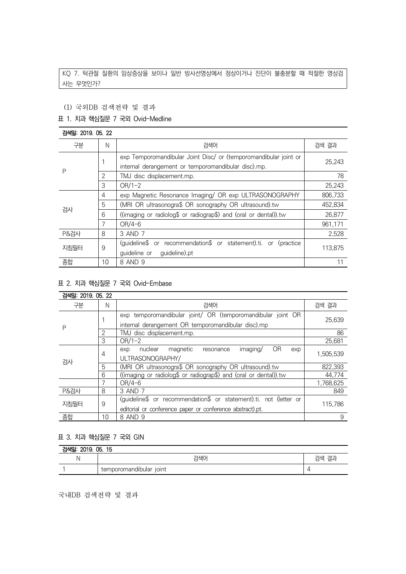KQ 7. 턱관절 질환의 임상증상을 보이나 일반 방사선영상에서 정상이거나 진단이 불충분할 때 적절한 영상검 사는 무엇인가?

#### (1) 국외DB 검색전략 및 결과

## 표 1. 치과 핵심질문 7 국외 Ovid-Medline

#### 검색일: 2019. 05. 22 구분 N 검색어 검색 결과 P 1 exp Temporomandibular Joint Disc/ or (temporomandibular joint or internal derangement or temporomandibular disc).mp. 25,243 2 TMJ disc displacement.mp. 78 3 OR/1-2 25,243 검사 4 exp Magnetic Resonance Imaging/ OR exp ULTRASONOGRAPHY | 806,733 5 (MRI OR ultrasonogra\$ OR sonography OR ultrasound).tw 452,834 6 ((imaging or radiolog\$ or radiograp\$) and (oral or dental)).tw 26,877 7 OR/4-6 961,171 P&검사 | 8 | 3 AND 7 2,528 지침필터 | 9 (guideline\$ or recommendation\$ or statement).ti. or (practice guideline or guideline).pt 113,875 종합 10 8 AND 9 11

### 표 2. 치과 핵심질문 7 국외 Ovid-Embase

| 검색일: 2019, 05, 22 |    |                                                                   |           |  |  |  |
|-------------------|----|-------------------------------------------------------------------|-----------|--|--|--|
| 구분                | N  | 검색어                                                               | 검색 결과     |  |  |  |
| Ρ                 |    | exp temporomandibular joint/ OR (temporomandibular joint OR       | 25,639    |  |  |  |
|                   |    | internal derangement OR temporomandibular disc).mp                |           |  |  |  |
|                   | 2  | TMJ disc displacement.mp.                                         | 86        |  |  |  |
|                   | 3  | $OR/1-2$                                                          | 25,681    |  |  |  |
| 검사                | 4  | OR<br>nuclear<br>magnetic<br>imaging/<br>exp<br>resonance<br>exp  |           |  |  |  |
|                   |    | ULTRASONOGRAPHY/                                                  | 1,505,539 |  |  |  |
|                   | 5  | (MRI OR ultrasonogra\$ OR sonography OR ultrasound).tw            | 822,393   |  |  |  |
|                   | 6  | ((imaging or radiolog\$ or radiograp\$) and (oral or dental)).tw  | 44,774    |  |  |  |
|                   | 7  | $OR/4-6$                                                          | 1,768,625 |  |  |  |
| <b>P&amp;검사</b>   | 8  | 3 AND 7                                                           | 849       |  |  |  |
| 지침필터              | 9  | (guideline\$ or recommendation\$ or statement).ti. not (letter or |           |  |  |  |
|                   |    | editorial or conference paper or conference abstract).pt.         | 115,786   |  |  |  |
| 종합                | 10 | 8 AND 9                                                           | 9         |  |  |  |

## 표 3. 치과 핵심질문 7 국외 GIN

| 검색일: 2019. 05. 15 |                         |       |  |  |  |
|-------------------|-------------------------|-------|--|--|--|
|                   | 검색어                     | 검색 결괴 |  |  |  |
|                   | temporomandibular joint | L     |  |  |  |

국내DB 검색전략 및 결과